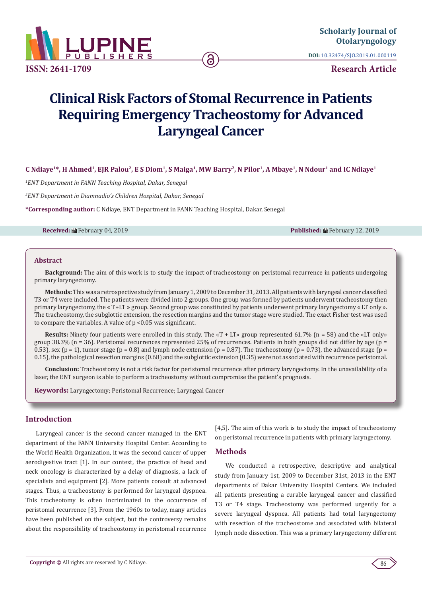

**DOI:** [10.32474/SJO.2019.01.000119](http://dx.doi.org/10.32474/SJO.2019.01.000119)

**Research Article**

# **Clinical Risk Factors of Stomal Recurrence in Patients Requiring Emergency Tracheostomy for Advanced Laryngeal Cancer**

**C Ndiaye1\*, H Ahmed1, EJR Palou2, E S Diom1, S Maiga1, MW Barry2, N Pilor1, A Mbaye1, N Ndour1 and IC Ndiaye1**

*1 ENT Department in FANN Teaching Hospital, Dakar, Senegal*

*2 ENT Department in Diamnadio's Children Hospital, Dakar, Senegal*

**\*Corresponding author:** C Ndiaye, ENT Department in FANN Teaching Hospital, Dakar, Senegal

**Received:** February 04, 2019 **Published:** February 12, 2019

#### **Abstract**

**Background:** The aim of this work is to study the impact of tracheostomy on peristomal recurrence in patients undergoing primary laryngectomy.

**Methods:** This was a retrospective study from January 1, 2009 to December 31, 2013. All patients with laryngeal cancer classified T3 or T4 were included. The patients were divided into 2 groups. One group was formed by patients underwent tracheostomy then primary laryngectomy, the « T+LT » group. Second group was constituted by patients underwent primary laryngectomy « LT only ». The tracheostomy, the subglottic extension, the resection margins and the tumor stage were studied. The exact Fisher test was used to compare the variables. A value of p <0.05 was significant.

**Results:** Ninety four patients were enrolled in this study. The «T + LT» group represented 61.7% (n = 58) and the «LT only» group 38.3% (n = 36). Peristomal recurrences represented 25% of recurrences. Patients in both groups did not differ by age (p = 0.53), sex (p = 1), tumor stage (p = 0.8) and lymph node extension (p = 0.87). The tracheostomy (p = 0.73), the advanced stage (p = 0.15), the pathological resection margins (0.68) and the subglottic extension (0.35) were not associated with recurrence peristomal.

**Conclusion:** Tracheostomy is not a risk factor for peristomal recurrence after primary laryngectomy. In the unavailability of a laser, the ENT surgeon is able to perform a tracheostomy without compromise the patient's prognosis.

**Keywords:** Laryngectomy; Peristomal Recurrence; Laryngeal Cancer

#### **Introduction**

Laryngeal cancer is the second cancer managed in the ENT department of the FANN University Hospital Center. According to the World Health Organization, it was the second cancer of upper aerodigestive tract [1]. In our context, the practice of head and neck oncology is characterized by a delay of diagnosis, a lack of specialists and equipment [2]. More patients consult at advanced stages. Thus, a tracheostomy is performed for laryngeal dyspnea. This tracheotomy is often incriminated in the occurrence of peristomal recurrence [3]. From the 1960s to today, many articles have been published on the subject, but the controversy remains about the responsibility of tracheostomy in peristomal recurrence

[4,5]. The aim of this work is to study the impact of tracheostomy on peristomal recurrence in patients with primary laryngectomy.

#### **Methods**

We conducted a retrospective, descriptive and analytical study from January 1st, 2009 to December 31st, 2013 in the ENT departments of Dakar University Hospital Centers. We included all patients presenting a curable laryngeal cancer and classified T3 or T4 stage. Tracheostomy was performed urgently for a severe laryngeal dyspnea. All patients had total laryngectomy with resection of the tracheostome and associated with bilateral lymph node dissection. This was a primary laryngectomy different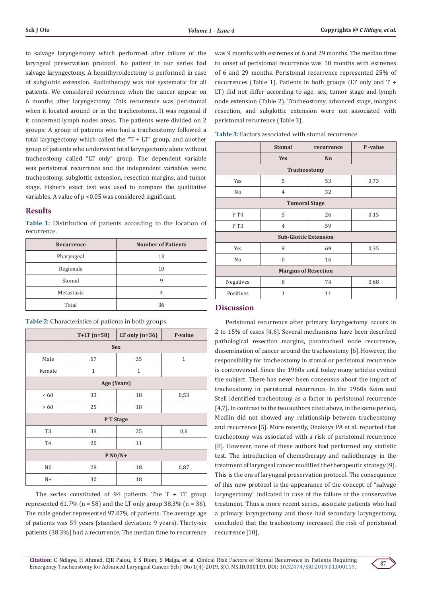to salvage laryngectomy which performed after failure of the laryngeal preservation protocol. No patient in our series had salvage laryngectomy. A hemithyroidectomy is performed in case of subglottic extension. Radiotherapy was not systematic for all patients. We considered recurrence when the cancer appear on 6 months after laryngectomy. This recurrence was peristomal when it located around or in the tracheostome. It was regional if it concerned lymph nodes areas. The patients were divided on 2 groups: A group of patients who had a tracheostomy followed a total laryngectomy which called the "T + LT" group, and another group of patients who underwent total laryngectomy alone without tracheostomy called "LT only" group. The dependent variable was peristomal recurrence and the independent variables were: tracheostomy, subglottic extension, resection margins, and tumor stage. Fisher's exact test was used to compare the qualitative variables. A value of p <0.05 was considered significant.

# **Results**

**Table 1:** Distribution of patients according to the location of recurrence.

| Recurrence | <b>Number of Patients</b> |  |
|------------|---------------------------|--|
| Pharyngeal | 13                        |  |
| Regionals  | 10                        |  |
| Stomal     | q                         |  |
| Metastasis |                           |  |
| Total      | 36                        |  |

| Table 2: Characteristics of patients in both groups. |  |  |  |  |  |  |
|------------------------------------------------------|--|--|--|--|--|--|
|------------------------------------------------------|--|--|--|--|--|--|

|                | $T+LT$ (n=58) | LT only $(n=36)$ | P-value      |  |  |
|----------------|---------------|------------------|--------------|--|--|
| <b>Sex</b>     |               |                  |              |  |  |
| Male           | 57            | 35               | $\mathbf{1}$ |  |  |
| Female         | $\mathbf{1}$  | $\mathbf{1}$     |              |  |  |
| Age (Years)    |               |                  |              |  |  |
| <60            | 33            | 18               | 0,53         |  |  |
| > 60           | 25            | 18               |              |  |  |
| P T Stage      |               |                  |              |  |  |
| T <sub>3</sub> | 38            | 25               | 0,8          |  |  |
| T <sub>4</sub> | 20            | 11               |              |  |  |
| $P N0/N+$      |               |                  |              |  |  |
| N <sub>0</sub> | 28            | 18               | 0,87         |  |  |
| $N+$           | 30            | 18               |              |  |  |

The series constituted of 94 patients. The T + LT group represented  $61.7\%$  (n = 58) and the LT only group 38.3% (n = 36). The male gender represented 97.87% of patients. The average age of patients was 59 years (standard deviation: 9 years). Thirty-six patients (38.3%) had a recurrence. The median time to recurrence

was 9 months with extremes of 6 and 29 months. The median time to onset of peristomal recurrence was 10 months with extremes of 6 and 29 months. Peristomal recurrence represented 25% of recurrences (Table 1). Patients in both groups (LT only and T + LT) did not differ according to age, sex, tumor stage and lymph node extension (Table 2). Tracheostomy, advanced stage, margins resection, and subglottic extension were not associated with peristomal recurrence (Table 3).

| Table 3: Factors associated with stomal recurrence. |  |
|-----------------------------------------------------|--|
|-----------------------------------------------------|--|

|                              | <b>Stomal</b>  | recurrence     | P-value |  |  |
|------------------------------|----------------|----------------|---------|--|--|
|                              | <b>Yes</b>     | N <sub>o</sub> |         |  |  |
| <b>Tracheostomy</b>          |                |                |         |  |  |
| Yes                          | 5              | 53             | 0,73    |  |  |
| No                           | $\overline{4}$ | 32             |         |  |  |
| <b>Tumoral Stage</b>         |                |                |         |  |  |
| P T4                         | 5              | 26             | 0,15    |  |  |
| PT3                          | $\overline{4}$ | 59             |         |  |  |
| <b>Sub-Glottic Extension</b> |                |                |         |  |  |
| Yes                          | 9              | 69             | 0,35    |  |  |
| No                           | $\Omega$       | 16             |         |  |  |
| <b>Margins of Resection</b>  |                |                |         |  |  |
| Negatives                    | 8              | 74             | 0,68    |  |  |
| Positives                    | $\mathbf{1}$   | 11             |         |  |  |

#### **Discussion**

Peristomal recurrence after primary laryngectomy occurs in 2 to 15% of cases [4,6]. Several mechanisms have been described pathological resection margins, paratracheal node recurrence, dissemination of cancer around the tracheostomy [6]. However, the responsibility for tracheostomy in stomal or peristomal recurrence is controversial. Since the 1960s until today many articles evoked the subject. There has never been consensus about the impact of tracheostomy in peristomal recurrence. In the 1960s Keim and Stell identified tracheotomy as a factor in peristomal recurrence [4,7]. In contrast to the two authors cited above, in the same period, Modlin did not showed any relationship between tracheostomy and recurrence [5]. More recently, Onakoya PA et al. reported that tracheotomy was associated with a risk of peristomal recurrence [8]. However, none of these authors had performed any statistic test. The introduction of chemotherapy and radiotherapy in the treatment of laryngeal cancer modified the therapeutic strategy [9]. This is the era of laryngeal preservation protocol. The consequence of this new protocol is the appearance of the concept of "salvage laryngectomy" indicated in case of the failure of the conservative treatment. Thus a more recent series, associate patients who had a primary laryngectomy and those had secondary laryngectomy, concluded that the tracheotomy increased the risk of peristomal recurrence [10].